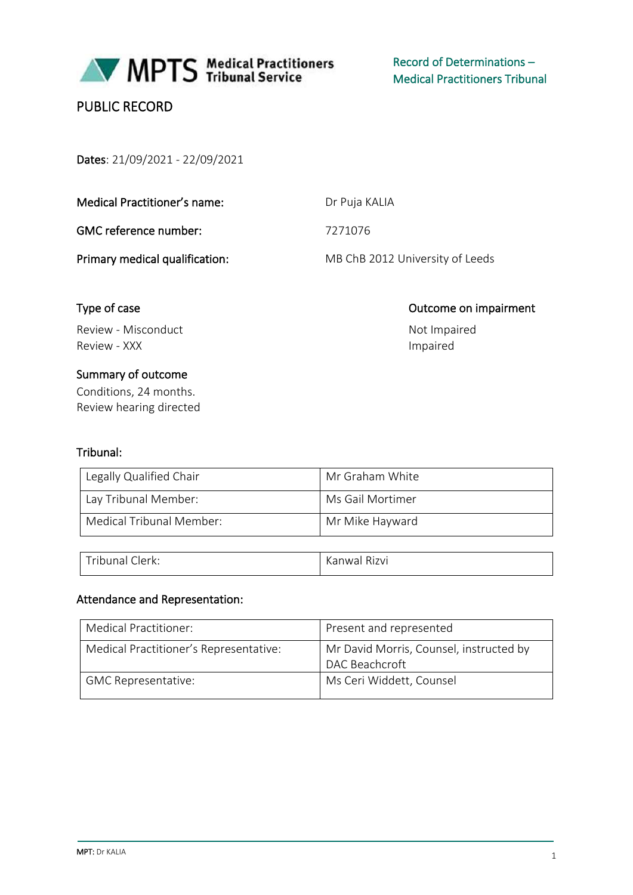

MPTS Medical Practitioners

Record of Determinations – Medical Practitioners Tribunal

# PUBLIC RECORD

Dates: 21/09/2021 - 22/09/2021

| Medical Practitioner's name: |  |
|------------------------------|--|
|                              |  |

GMC reference number:  $7271076$ 

Dr Puja KALIA

Primary medical qualification: MB ChB 2012 University of Leeds

Review - Misconduct Not Impaired Review - XXX and a state of the control of the control of the control of the control of the control of the control of the control of the control of the control of the control of the control of the control of the control of

# Summary of outcome

Conditions, 24 months. Review hearing directed

# Tribunal:

| Legally Qualified Chair  | Mr Graham White  |
|--------------------------|------------------|
| Lay Tribunal Member:     | Ms Gail Mortimer |
| Medical Tribunal Member: | Mr Mike Hayward  |

| Tribunal Clerk: | Kanwal Rizvi |
|-----------------|--------------|

### Attendance and Representation:

| Medical Practitioner:                  | Present and represented                                   |
|----------------------------------------|-----------------------------------------------------------|
| Medical Practitioner's Representative: | Mr David Morris, Counsel, instructed by<br>DAC Beachcroft |
| <b>GMC Representative:</b>             | Ms Ceri Widdett, Counsel                                  |

# Type of case **Outcome on impairment**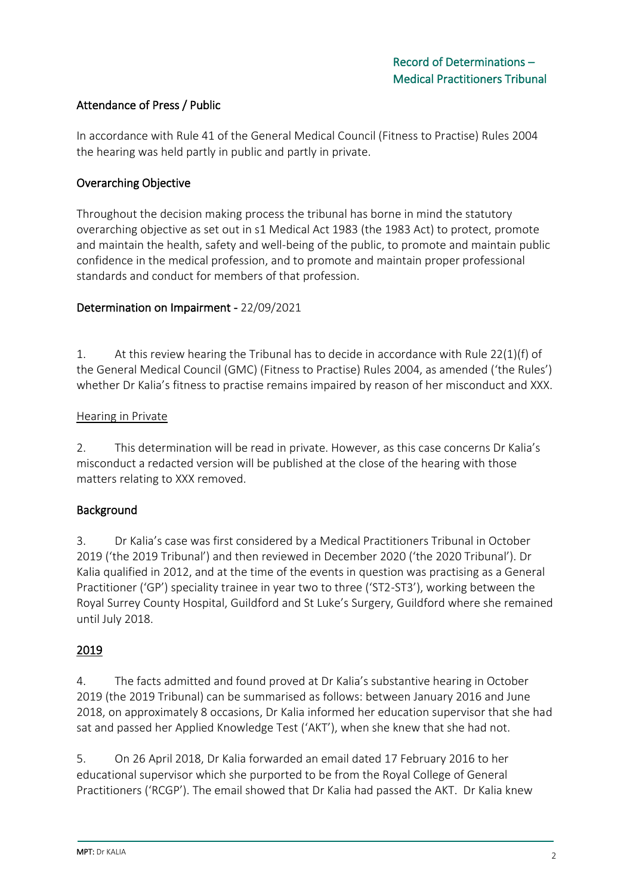## Attendance of Press / Public

In accordance with Rule 41 of the General Medical Council (Fitness to Practise) Rules 2004 the hearing was held partly in public and partly in private.

### Overarching Objective

Throughout the decision making process the tribunal has borne in mind the statutory overarching objective as set out in s1 Medical Act 1983 (the 1983 Act) to protect, promote and maintain the health, safety and well-being of the public, to promote and maintain public confidence in the medical profession, and to promote and maintain proper professional standards and conduct for members of that profession.

### Determination on Impairment - 22/09/2021

1. At this review hearing the Tribunal has to decide in accordance with Rule 22(1)(f) of the General Medical Council (GMC) (Fitness to Practise) Rules 2004, as amended ('the Rules') whether Dr Kalia's fitness to practise remains impaired by reason of her misconduct and XXX.

#### Hearing in Private

2. This determination will be read in private. However, as this case concerns Dr Kalia's misconduct a redacted version will be published at the close of the hearing with those matters relating to XXX removed.

### Background

3. Dr Kalia's case was first considered by a Medical Practitioners Tribunal in October 2019 ('the 2019 Tribunal') and then reviewed in December 2020 ('the 2020 Tribunal'). Dr Kalia qualified in 2012, and at the time of the events in question was practising as a General Practitioner ('GP') speciality trainee in year two to three ('ST2-ST3'), working between the Royal Surrey County Hospital, Guildford and St Luke's Surgery, Guildford where she remained until July 2018.

### 2019

4. The facts admitted and found proved at Dr Kalia's substantive hearing in October 2019 (the 2019 Tribunal) can be summarised as follows: between January 2016 and June 2018, on approximately 8 occasions, Dr Kalia informed her education supervisor that she had sat and passed her Applied Knowledge Test ('AKT'), when she knew that she had not.

5. On 26 April 2018, Dr Kalia forwarded an email dated 17 February 2016 to her educational supervisor which she purported to be from the Royal College of General Practitioners ('RCGP'). The email showed that Dr Kalia had passed the AKT. Dr Kalia knew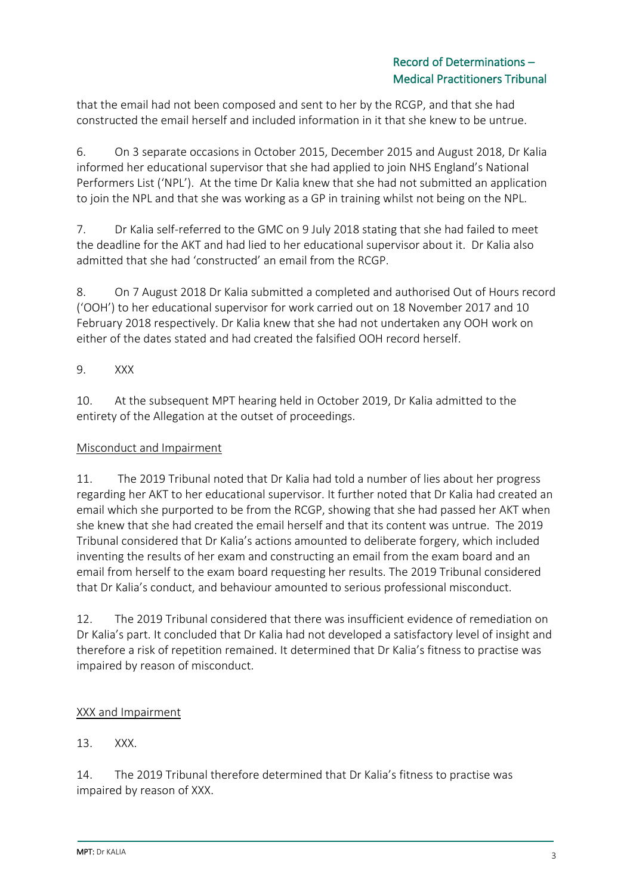that the email had not been composed and sent to her by the RCGP, and that she had constructed the email herself and included information in it that she knew to be untrue.

6. On 3 separate occasions in October 2015, December 2015 and August 2018, Dr Kalia informed her educational supervisor that she had applied to join NHS England's National Performers List ('NPL'). At the time Dr Kalia knew that she had not submitted an application to join the NPL and that she was working as a GP in training whilst not being on the NPL.

7. Dr Kalia self-referred to the GMC on 9 July 2018 stating that she had failed to meet the deadline for the AKT and had lied to her educational supervisor about it. Dr Kalia also admitted that she had 'constructed' an email from the RCGP.

8. On 7 August 2018 Dr Kalia submitted a completed and authorised Out of Hours record ('OOH') to her educational supervisor for work carried out on 18 November 2017 and 10 February 2018 respectively. Dr Kalia knew that she had not undertaken any OOH work on either of the dates stated and had created the falsified OOH record herself.

# 9. XXX

10. At the subsequent MPT hearing held in October 2019, Dr Kalia admitted to the entirety of the Allegation at the outset of proceedings.

# Misconduct and Impairment

11. The 2019 Tribunal noted that Dr Kalia had told a number of lies about her progress regarding her AKT to her educational supervisor. It further noted that Dr Kalia had created an email which she purported to be from the RCGP, showing that she had passed her AKT when she knew that she had created the email herself and that its content was untrue. The 2019 Tribunal considered that Dr Kalia's actions amounted to deliberate forgery, which included inventing the results of her exam and constructing an email from the exam board and an email from herself to the exam board requesting her results. The 2019 Tribunal considered that Dr Kalia's conduct, and behaviour amounted to serious professional misconduct.

12. The 2019 Tribunal considered that there was insufficient evidence of remediation on Dr Kalia's part. It concluded that Dr Kalia had not developed a satisfactory level of insight and therefore a risk of repetition remained. It determined that Dr Kalia's fitness to practise was impaired by reason of misconduct.

# XXX and Impairment

# 13. XXX.

14. The 2019 Tribunal therefore determined that Dr Kalia's fitness to practise was impaired by reason of XXX.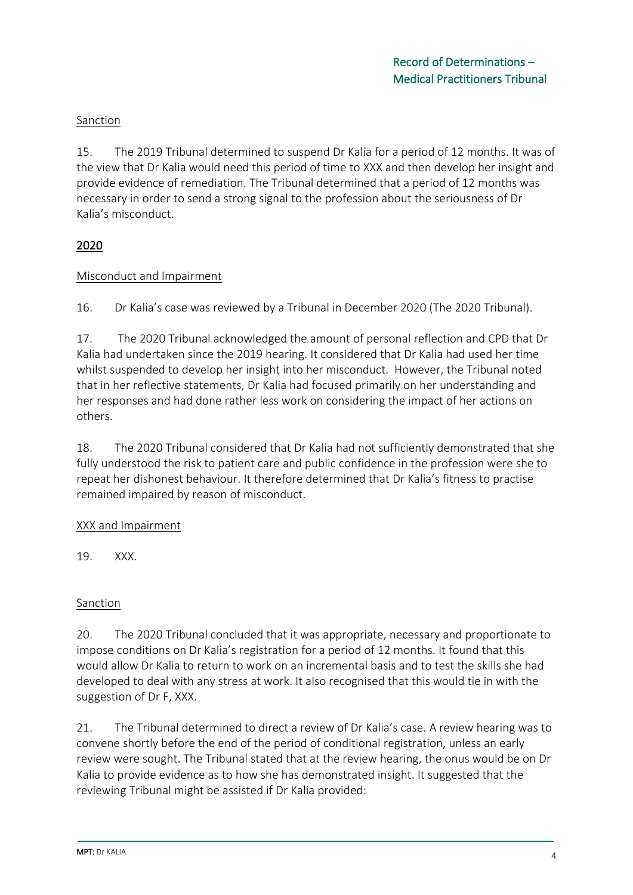### Sanction

15. The 2019 Tribunal determined to suspend Dr Kalia for a period of 12 months. It was of the view that Dr Kalia would need this period of time to XXX and then develop her insight and provide evidence of remediation. The Tribunal determined that a period of 12 months was necessary in order to send a strong signal to the profession about the seriousness of Dr Kalia's misconduct.

## 2020

### Misconduct and Impairment

16. Dr Kalia's case was reviewed by a Tribunal in December 2020 (The 2020 Tribunal).

17. The 2020 Tribunal acknowledged the amount of personal reflection and CPD that Dr Kalia had undertaken since the 2019 hearing. It considered that Dr Kalia had used her time whilst suspended to develop her insight into her misconduct. However, the Tribunal noted that in her reflective statements, Dr Kalia had focused primarily on her understanding and her responses and had done rather less work on considering the impact of her actions on others.

18. The 2020 Tribunal considered that Dr Kalia had not sufficiently demonstrated that she fully understood the risk to patient care and public confidence in the profession were she to repeat her dishonest behaviour. It therefore determined that Dr Kalia's fitness to practise remained impaired by reason of misconduct.

### XXX and Impairment

19. XXX.

### Sanction

20. The 2020 Tribunal concluded that it was appropriate, necessary and proportionate to impose conditions on Dr Kalia's registration for a period of 12 months. It found that this would allow Dr Kalia to return to work on an incremental basis and to test the skills she had developed to deal with any stress at work. It also recognised that this would tie in with the suggestion of Dr F, XXX.

21. The Tribunal determined to direct a review of Dr Kalia's case. A review hearing was to convene shortly before the end of the period of conditional registration, unless an early review were sought. The Tribunal stated that at the review hearing, the onus would be on Dr Kalia to provide evidence as to how she has demonstrated insight. It suggested that the reviewing Tribunal might be assisted if Dr Kalia provided: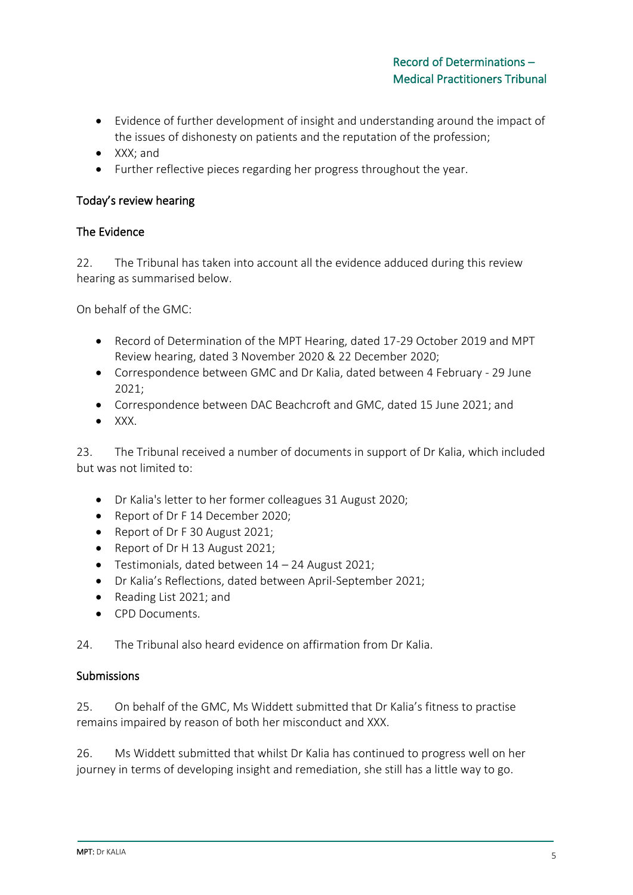- Evidence of further development of insight and understanding around the impact of the issues of dishonesty on patients and the reputation of the profession;
- XXX; and
- Further reflective pieces regarding her progress throughout the year.

### Today's review hearing

#### The Evidence

22. The Tribunal has taken into account all the evidence adduced during this review hearing as summarised below.

On behalf of the GMC:

- Record of Determination of the MPT Hearing, dated 17-29 October 2019 and MPT Review hearing, dated 3 November 2020 & 22 December 2020;
- Correspondence between GMC and Dr Kalia, dated between 4 February 29 June 2021;
- Correspondence between DAC Beachcroft and GMC, dated 15 June 2021; and
- $\bullet$  XXX.

23. The Tribunal received a number of documents in support of Dr Kalia, which included but was not limited to:

- Dr Kalia's letter to her former colleagues 31 August 2020;
- Report of Dr F 14 December 2020;
- Report of Dr F 30 August 2021;
- Report of Dr H 13 August 2021;
- Testimonials, dated between 14 24 August 2021;
- Dr Kalia's Reflections, dated between April-September 2021;
- Reading List 2021; and
- CPD Documents.
- 24. The Tribunal also heard evidence on affirmation from Dr Kalia.

#### Submissions

25. On behalf of the GMC, Ms Widdett submitted that Dr Kalia's fitness to practise remains impaired by reason of both her misconduct and XXX.

26. Ms Widdett submitted that whilst Dr Kalia has continued to progress well on her journey in terms of developing insight and remediation, she still has a little way to go.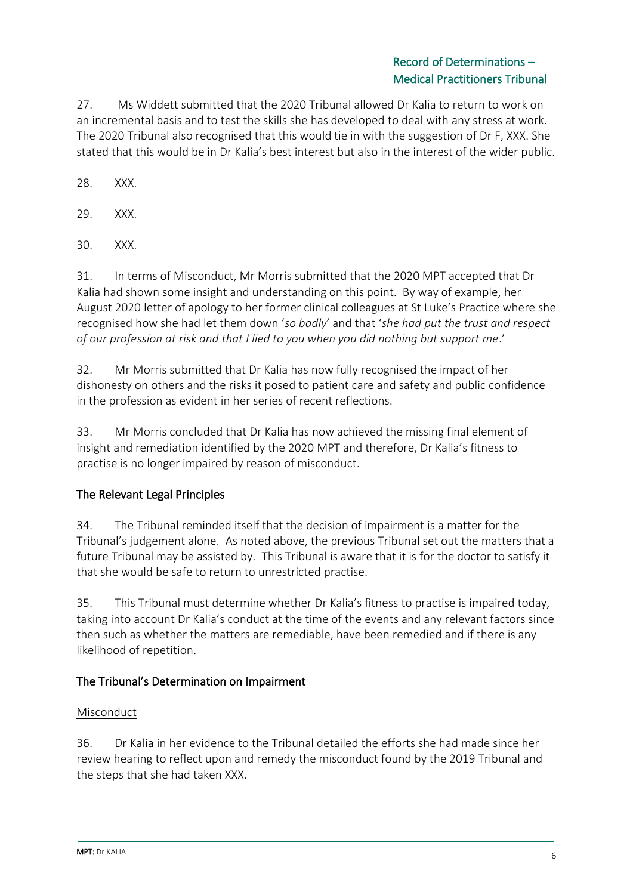27. Ms Widdett submitted that the 2020 Tribunal allowed Dr Kalia to return to work on an incremental basis and to test the skills she has developed to deal with any stress at work. The 2020 Tribunal also recognised that this would tie in with the suggestion of Dr F, XXX. She stated that this would be in Dr Kalia's best interest but also in the interest of the wider public.

28. XXX.

29. XXX.

30. XXX.

31. In terms of Misconduct, Mr Morris submitted that the 2020 MPT accepted that Dr Kalia had shown some insight and understanding on this point. By way of example, her August 2020 letter of apology to her former clinical colleagues at St Luke's Practice where she recognised how she had let them down '*so badly*' and that '*she had put the trust and respect of our profession at risk and that I lied to you when you did nothing but support me*.'

32. Mr Morris submitted that Dr Kalia has now fully recognised the impact of her dishonesty on others and the risks it posed to patient care and safety and public confidence in the profession as evident in her series of recent reflections.

33. Mr Morris concluded that Dr Kalia has now achieved the missing final element of insight and remediation identified by the 2020 MPT and therefore, Dr Kalia's fitness to practise is no longer impaired by reason of misconduct.

# The Relevant Legal Principles

34. The Tribunal reminded itself that the decision of impairment is a matter for the Tribunal's judgement alone. As noted above, the previous Tribunal set out the matters that a future Tribunal may be assisted by. This Tribunal is aware that it is for the doctor to satisfy it that she would be safe to return to unrestricted practise.

35. This Tribunal must determine whether Dr Kalia's fitness to practise is impaired today, taking into account Dr Kalia's conduct at the time of the events and any relevant factors since then such as whether the matters are remediable, have been remedied and if there is any likelihood of repetition.

# The Tribunal's Determination on Impairment

### Misconduct

36. Dr Kalia in her evidence to the Tribunal detailed the efforts she had made since her review hearing to reflect upon and remedy the misconduct found by the 2019 Tribunal and the steps that she had taken XXX.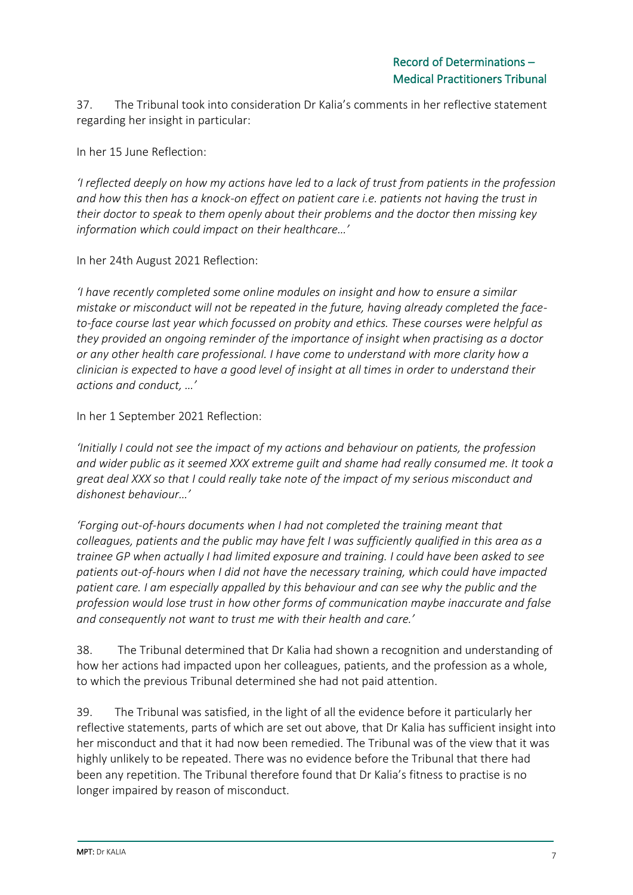37. The Tribunal took into consideration Dr Kalia's comments in her reflective statement regarding her insight in particular:

In her 15 June Reflection:

*'I reflected deeply on how my actions have led to a lack of trust from patients in the profession and how this then has a knock-on effect on patient care i.e. patients not having the trust in their doctor to speak to them openly about their problems and the doctor then missing key information which could impact on their healthcare…'*

In her 24th August 2021 Reflection:

*'I have recently completed some online modules on insight and how to ensure a similar mistake or misconduct will not be repeated in the future, having already completed the faceto-face course last year which focussed on probity and ethics. These courses were helpful as they provided an ongoing reminder of the importance of insight when practising as a doctor or any other health care professional. I have come to understand with more clarity how a clinician is expected to have a good level of insight at all times in order to understand their actions and conduct, …'*

In her 1 September 2021 Reflection:

*'Initially I could not see the impact of my actions and behaviour on patients, the profession and wider public as it seemed XXX extreme guilt and shame had really consumed me. It took a great deal XXX so that I could really take note of the impact of my serious misconduct and dishonest behaviour…'* 

*'Forging out-of-hours documents when I had not completed the training meant that colleagues, patients and the public may have felt I was sufficiently qualified in this area as a trainee GP when actually I had limited exposure and training. I could have been asked to see patients out-of-hours when I did not have the necessary training, which could have impacted patient care. I am especially appalled by this behaviour and can see why the public and the profession would lose trust in how other forms of communication maybe inaccurate and false and consequently not want to trust me with their health and care.'*

38. The Tribunal determined that Dr Kalia had shown a recognition and understanding of how her actions had impacted upon her colleagues, patients, and the profession as a whole, to which the previous Tribunal determined she had not paid attention.

39. The Tribunal was satisfied, in the light of all the evidence before it particularly her reflective statements, parts of which are set out above, that Dr Kalia has sufficient insight into her misconduct and that it had now been remedied. The Tribunal was of the view that it was highly unlikely to be repeated. There was no evidence before the Tribunal that there had been any repetition. The Tribunal therefore found that Dr Kalia's fitness to practise is no longer impaired by reason of misconduct.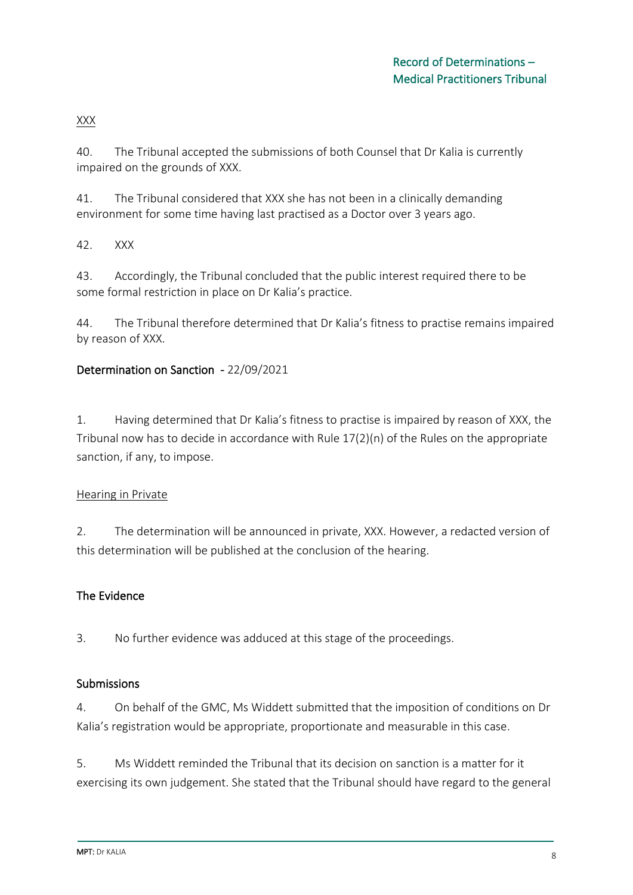XXX

40. The Tribunal accepted the submissions of both Counsel that Dr Kalia is currently impaired on the grounds of XXX.

41. The Tribunal considered that XXX she has not been in a clinically demanding environment for some time having last practised as a Doctor over 3 years ago.

42. XXX

43. Accordingly, the Tribunal concluded that the public interest required there to be some formal restriction in place on Dr Kalia's practice.

44. The Tribunal therefore determined that Dr Kalia's fitness to practise remains impaired by reason of XXX.

# Determination on Sanction - 22/09/2021

1. Having determined that Dr Kalia's fitness to practise is impaired by reason of XXX, the Tribunal now has to decide in accordance with Rule  $17(2)(n)$  of the Rules on the appropriate sanction, if any, to impose.

### Hearing in Private

2. The determination will be announced in private, XXX. However, a redacted version of this determination will be published at the conclusion of the hearing.

# The Evidence

3. No further evidence was adduced at this stage of the proceedings.

### Submissions

4. On behalf of the GMC, Ms Widdett submitted that the imposition of conditions on Dr Kalia's registration would be appropriate, proportionate and measurable in this case.

5. Ms Widdett reminded the Tribunal that its decision on sanction is a matter for it exercising its own judgement. She stated that the Tribunal should have regard to the general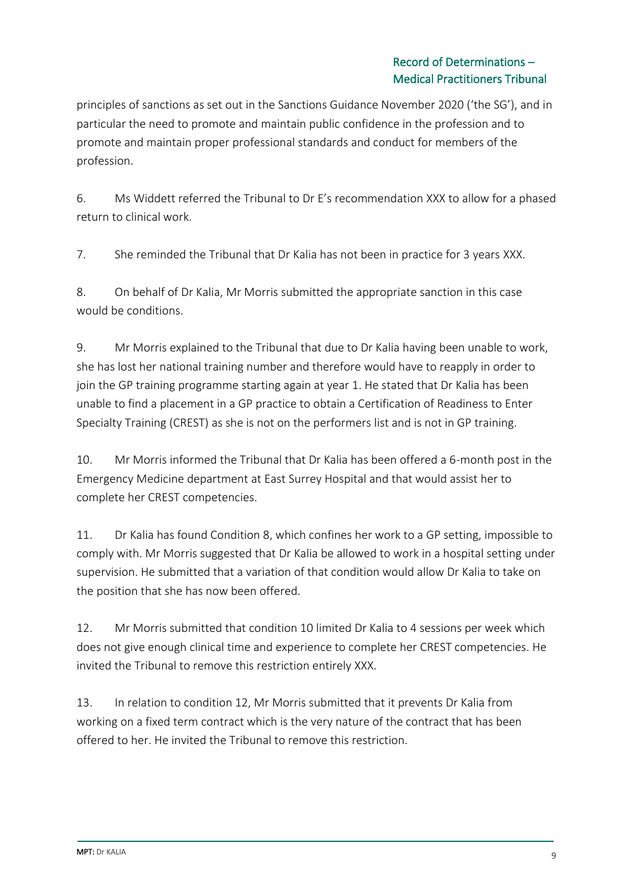principles of sanctions as set out in the Sanctions Guidance November 2020 ('the SG'), and in particular the need to promote and maintain public confidence in the profession and to promote and maintain proper professional standards and conduct for members of the profession.

6. Ms Widdett referred the Tribunal to Dr E's recommendation XXX to allow for a phased return to clinical work.

7. She reminded the Tribunal that Dr Kalia has not been in practice for 3 years XXX.

8. On behalf of Dr Kalia, Mr Morris submitted the appropriate sanction in this case would be conditions.

9. Mr Morris explained to the Tribunal that due to Dr Kalia having been unable to work, she has lost her national training number and therefore would have to reapply in order to join the GP training programme starting again at year 1. He stated that Dr Kalia has been unable to find a placement in a GP practice to obtain a Certification of Readiness to Enter Specialty Training (CREST) as she is not on the performers list and is not in GP training.

10. Mr Morris informed the Tribunal that Dr Kalia has been offered a 6-month post in the Emergency Medicine department at East Surrey Hospital and that would assist her to complete her CREST competencies.

11. Dr Kalia has found Condition 8, which confines her work to a GP setting, impossible to comply with. Mr Morris suggested that Dr Kalia be allowed to work in a hospital setting under supervision. He submitted that a variation of that condition would allow Dr Kalia to take on the position that she has now been offered.

12. Mr Morris submitted that condition 10 limited Dr Kalia to 4 sessions per week which does not give enough clinical time and experience to complete her CREST competencies. He invited the Tribunal to remove this restriction entirely XXX.

13. In relation to condition 12, Mr Morris submitted that it prevents Dr Kalia from working on a fixed term contract which is the very nature of the contract that has been offered to her. He invited the Tribunal to remove this restriction.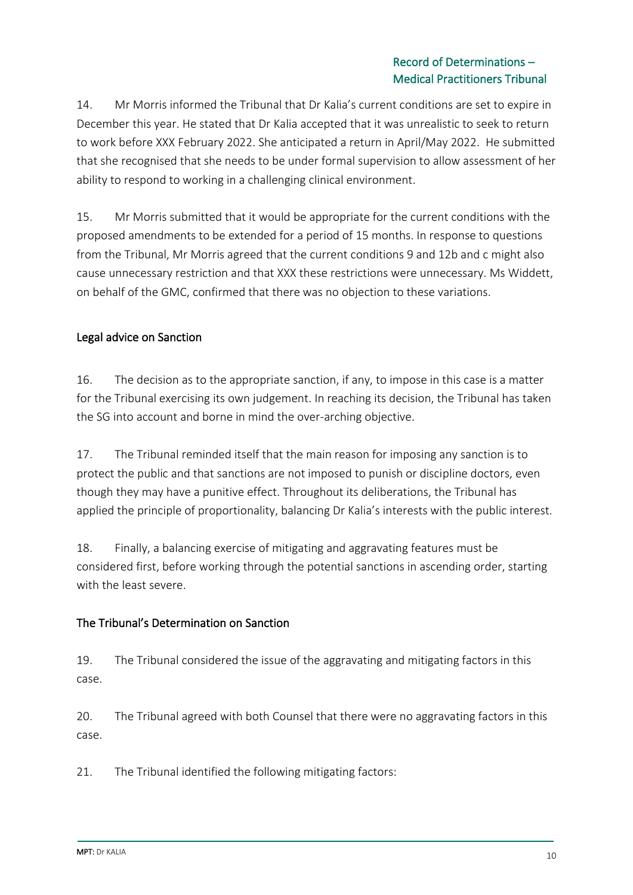14. Mr Morris informed the Tribunal that Dr Kalia's current conditions are set to expire in December this year. He stated that Dr Kalia accepted that it was unrealistic to seek to return to work before XXX February 2022. She anticipated a return in April/May 2022. He submitted that she recognised that she needs to be under formal supervision to allow assessment of her ability to respond to working in a challenging clinical environment.

15. Mr Morris submitted that it would be appropriate for the current conditions with the proposed amendments to be extended for a period of 15 months. In response to questions from the Tribunal, Mr Morris agreed that the current conditions 9 and 12b and c might also cause unnecessary restriction and that XXX these restrictions were unnecessary. Ms Widdett, on behalf of the GMC, confirmed that there was no objection to these variations.

## Legal advice on Sanction

16. The decision as to the appropriate sanction, if any, to impose in this case is a matter for the Tribunal exercising its own judgement. In reaching its decision, the Tribunal has taken the SG into account and borne in mind the over-arching objective.

17. The Tribunal reminded itself that the main reason for imposing any sanction is to protect the public and that sanctions are not imposed to punish or discipline doctors, even though they may have a punitive effect. Throughout its deliberations, the Tribunal has applied the principle of proportionality, balancing Dr Kalia's interests with the public interest.

18. Finally, a balancing exercise of mitigating and aggravating features must be considered first, before working through the potential sanctions in ascending order, starting with the least severe.

### The Tribunal's Determination on Sanction

19. The Tribunal considered the issue of the aggravating and mitigating factors in this case.

20. The Tribunal agreed with both Counsel that there were no aggravating factors in this case.

21. The Tribunal identified the following mitigating factors: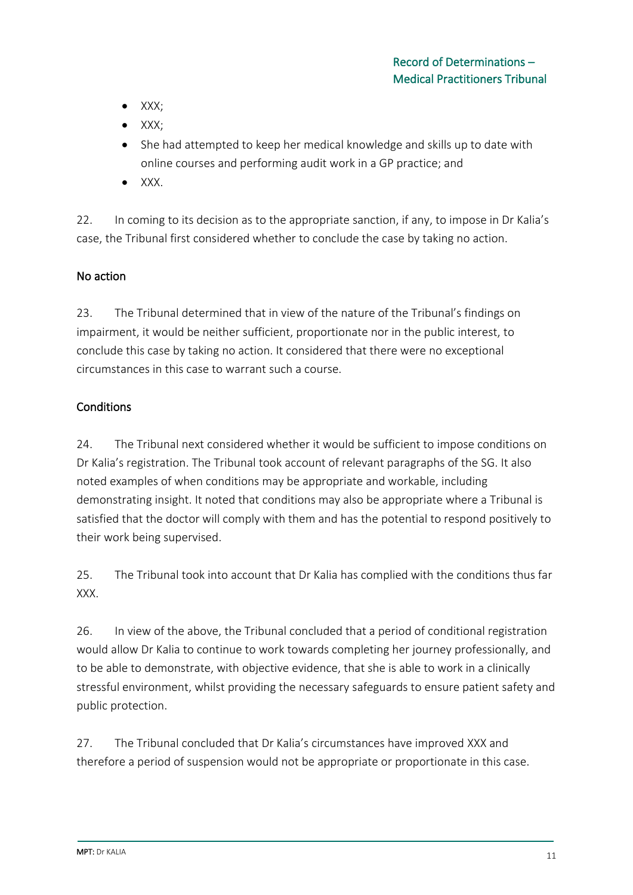- XXX;
- XXX;
- She had attempted to keep her medical knowledge and skills up to date with online courses and performing audit work in a GP practice; and
- XXX.

22. In coming to its decision as to the appropriate sanction, if any, to impose in Dr Kalia's case, the Tribunal first considered whether to conclude the case by taking no action.

## No action

23. The Tribunal determined that in view of the nature of the Tribunal's findings on impairment, it would be neither sufficient, proportionate nor in the public interest, to conclude this case by taking no action. It considered that there were no exceptional circumstances in this case to warrant such a course.

## **Conditions**

24. The Tribunal next considered whether it would be sufficient to impose conditions on Dr Kalia's registration. The Tribunal took account of relevant paragraphs of the SG. It also noted examples of when conditions may be appropriate and workable, including demonstrating insight. It noted that conditions may also be appropriate where a Tribunal is satisfied that the doctor will comply with them and has the potential to respond positively to their work being supervised.

25. The Tribunal took into account that Dr Kalia has complied with the conditions thus far XXX.

26. In view of the above, the Tribunal concluded that a period of conditional registration would allow Dr Kalia to continue to work towards completing her journey professionally, and to be able to demonstrate, with objective evidence, that she is able to work in a clinically stressful environment, whilst providing the necessary safeguards to ensure patient safety and public protection.

27. The Tribunal concluded that Dr Kalia's circumstances have improved XXX and therefore a period of suspension would not be appropriate or proportionate in this case.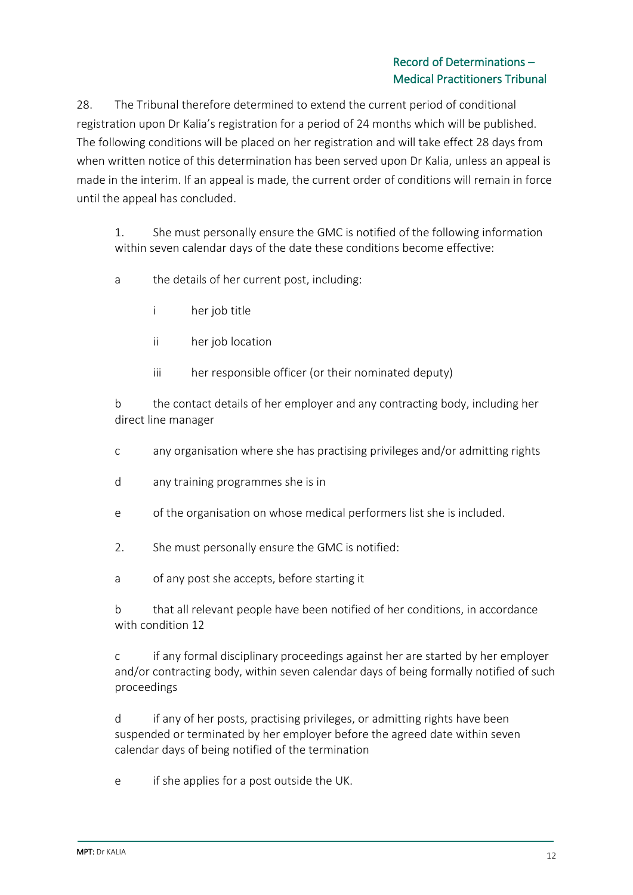28. The Tribunal therefore determined to extend the current period of conditional registration upon Dr Kalia's registration for a period of 24 months which will be published. The following conditions will be placed on her registration and will take effect 28 days from when written notice of this determination has been served upon Dr Kalia, unless an appeal is made in the interim. If an appeal is made, the current order of conditions will remain in force until the appeal has concluded.

1. She must personally ensure the GMC is notified of the following information within seven calendar days of the date these conditions become effective:

- a the details of her current post, including:
	- i her job title
	- ii her job location
	- iii her responsible officer (or their nominated deputy)

b the contact details of her employer and any contracting body, including her direct line manager

- c any organisation where she has practising privileges and/or admitting rights
- d any training programmes she is in
- e of the organisation on whose medical performers list she is included.
- 2. She must personally ensure the GMC is notified:
- a of any post she accepts, before starting it

b that all relevant people have been notified of her conditions, in accordance with condition 12

c if any formal disciplinary proceedings against her are started by her employer and/or contracting body, within seven calendar days of being formally notified of such proceedings

d if any of her posts, practising privileges, or admitting rights have been suspended or terminated by her employer before the agreed date within seven calendar days of being notified of the termination

e if she applies for a post outside the UK.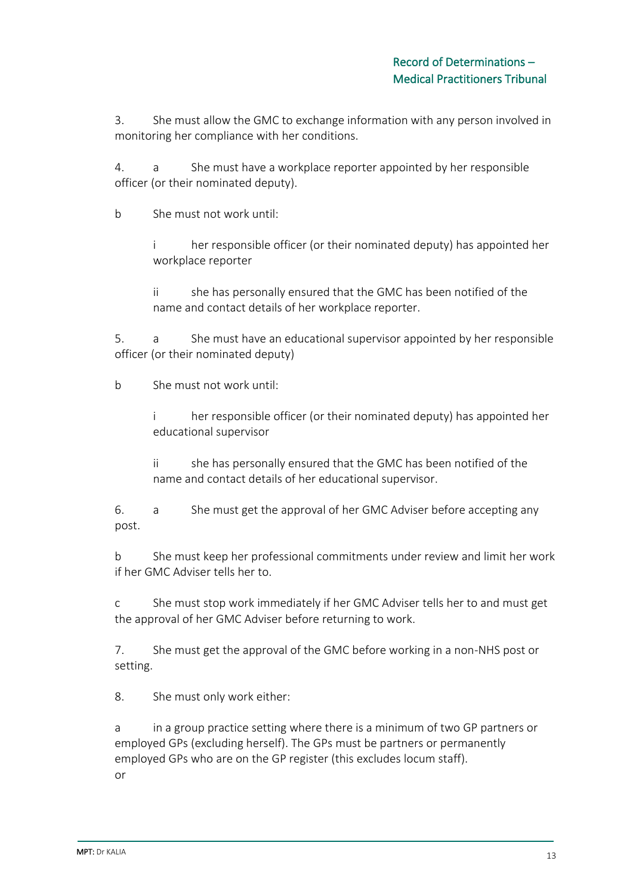3. She must allow the GMC to exchange information with any person involved in monitoring her compliance with her conditions.

4. a She must have a workplace reporter appointed by her responsible officer (or their nominated deputy).

b She must not work until:

i her responsible officer (or their nominated deputy) has appointed her workplace reporter

ii she has personally ensured that the GMC has been notified of the name and contact details of her workplace reporter.

5. a She must have an educational supervisor appointed by her responsible officer (or their nominated deputy)

b She must not work until:

i her responsible officer (or their nominated deputy) has appointed her educational supervisor

ii she has personally ensured that the GMC has been notified of the name and contact details of her educational supervisor.

6. a She must get the approval of her GMC Adviser before accepting any post.

b She must keep her professional commitments under review and limit her work if her GMC Adviser tells her to.

c She must stop work immediately if her GMC Adviser tells her to and must get the approval of her GMC Adviser before returning to work.

7. She must get the approval of the GMC before working in a non-NHS post or setting.

8. She must only work either:

a in a group practice setting where there is a minimum of two GP partners or employed GPs (excluding herself). The GPs must be partners or permanently employed GPs who are on the GP register (this excludes locum staff). or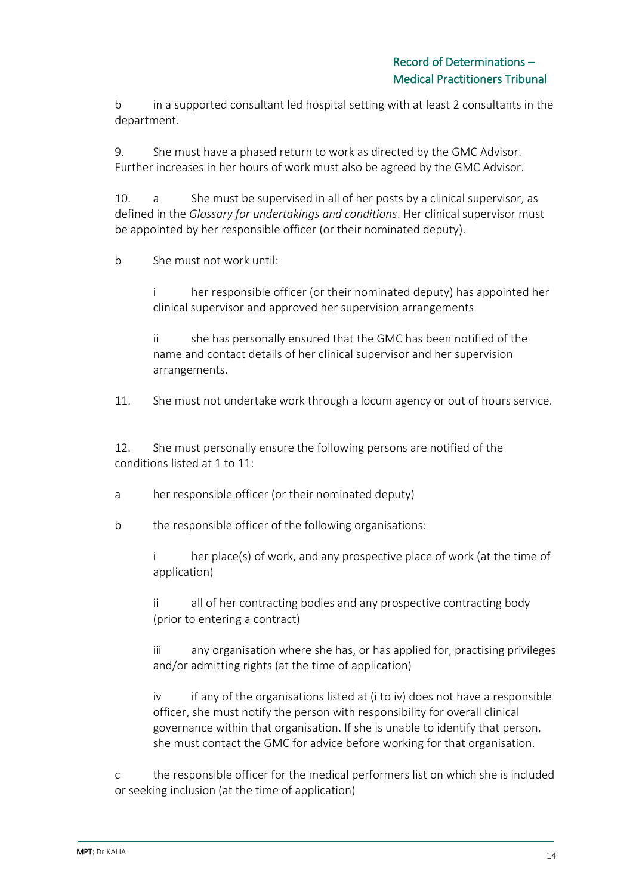b in a supported consultant led hospital setting with at least 2 consultants in the department.

9. She must have a phased return to work as directed by the GMC Advisor. Further increases in her hours of work must also be agreed by the GMC Advisor.

10. a She must be supervised in all of her posts by a clinical supervisor, as defined in the *Glossary for undertakings and conditions*. Her clinical supervisor must be appointed by her responsible officer (or their nominated deputy).

b She must not work until:

i her responsible officer (or their nominated deputy) has appointed her clinical supervisor and approved her supervision arrangements

ii she has personally ensured that the GMC has been notified of the name and contact details of her clinical supervisor and her supervision arrangements.

11. She must not undertake work through a locum agency or out of hours service.

12. She must personally ensure the following persons are notified of the conditions listed at 1 to 11:

a her responsible officer (or their nominated deputy)

b the responsible officer of the following organisations:

i her place(s) of work, and any prospective place of work (at the time of application)

ii all of her contracting bodies and any prospective contracting body (prior to entering a contract)

iii any organisation where she has, or has applied for, practising privileges and/or admitting rights (at the time of application)

iv if any of the organisations listed at (i to iv) does not have a responsible officer, she must notify the person with responsibility for overall clinical governance within that organisation. If she is unable to identify that person, she must contact the GMC for advice before working for that organisation.

c the responsible officer for the medical performers list on which she is included or seeking inclusion (at the time of application)